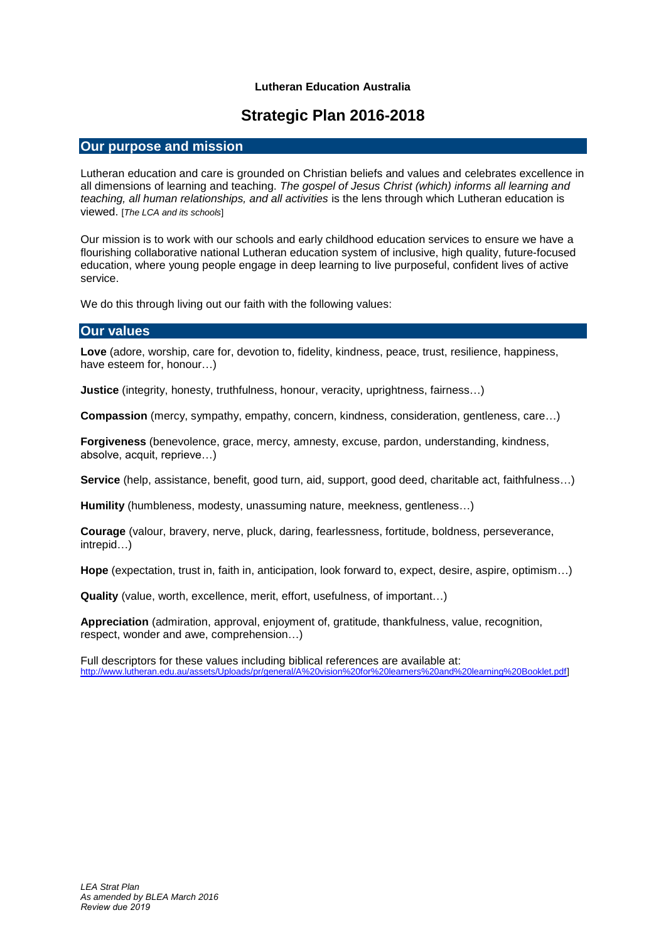#### **Lutheran Education Australia**

# **Strategic Plan 2016-2018**

#### **Our purpose and mission**

Lutheran education and care is grounded on Christian beliefs and values and celebrates excellence in all dimensions of learning and teaching. *The gospel of Jesus Christ (which) informs all learning and teaching, all human relationships, and all activities* is the lens through which Lutheran education is viewed. [*The LCA and its schools*]

Our mission is to work with our schools and early childhood education services to ensure we have a flourishing collaborative national Lutheran education system of inclusive, high quality, future-focused education, where young people engage in deep learning to live purposeful, confident lives of active service.

We do this through living out our faith with the following values:

#### **Our values**

**Love** (adore, worship, care for, devotion to, fidelity, kindness, peace, trust, resilience, happiness, have esteem for, honour…)

**Justice** (integrity, honesty, truthfulness, honour, veracity, uprightness, fairness…)

**Compassion** (mercy, sympathy, empathy, concern, kindness, consideration, gentleness, care…)

**Forgiveness** (benevolence, grace, mercy, amnesty, excuse, pardon, understanding, kindness, absolve, acquit, reprieve…)

**Service** (help, assistance, benefit, good turn, aid, support, good deed, charitable act, faithfulness…)

**Humility** (humbleness, modesty, unassuming nature, meekness, gentleness…)

**Courage** (valour, bravery, nerve, pluck, daring, fearlessness, fortitude, boldness, perseverance, intrepid…)

**Hope** (expectation, trust in, faith in, anticipation, look forward to, expect, desire, aspire, optimism…)

**Quality** (value, worth, excellence, merit, effort, usefulness, of important…)

**Appreciation** (admiration, approval, enjoyment of, gratitude, thankfulness, value, recognition, respect, wonder and awe, comprehension…)

Full descriptors for these values including biblical references are available at: [http://www.lutheran.edu.au/assets/Uploads/pr/general/A%20vision%20for%20learners%20and%20learning%20Booklet.pdf\]](http://www.lutheran.edu.au/assets/Uploads/pr/general/A%20vision%20for%20learners%20and%20learning%20Booklet.pdf)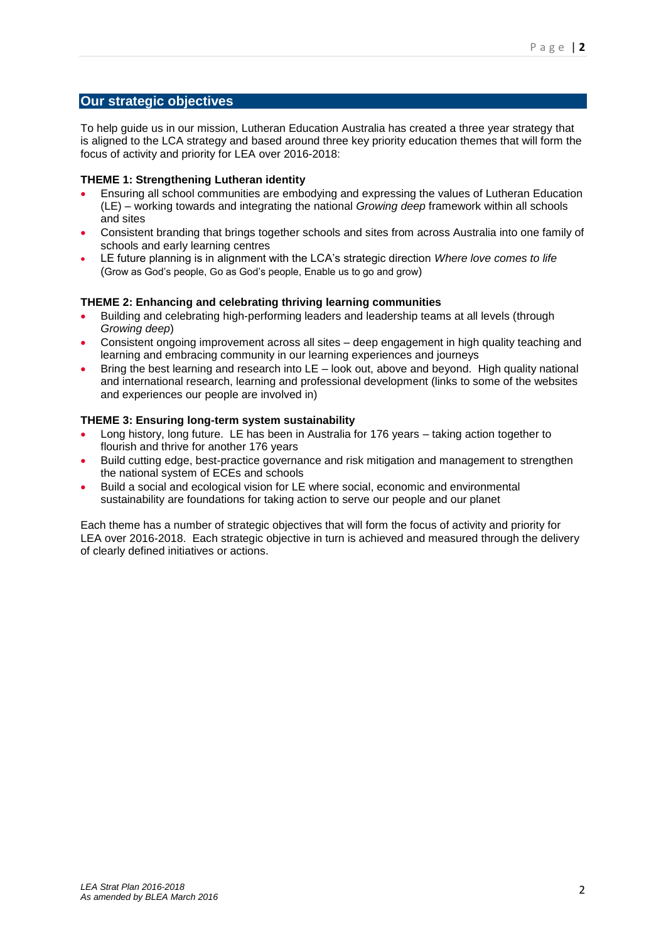### **Our strategic objectives**

To help guide us in our mission, Lutheran Education Australia has created a three year strategy that is aligned to the LCA strategy and based around three key priority education themes that will form the focus of activity and priority for LEA over 2016-2018:

#### **THEME 1: Strengthening Lutheran identity**

- Ensuring all school communities are embodying and expressing the values of Lutheran Education (LE) – working towards and integrating the national *Growing deep* framework within all schools and sites
- Consistent branding that brings together schools and sites from across Australia into one family of schools and early learning centres
- LE future planning is in alignment with the LCA's strategic direction *Where love comes to life* (Grow as God's people, Go as God's people, Enable us to go and grow)

#### **THEME 2: Enhancing and celebrating thriving learning communities**

- Building and celebrating high-performing leaders and leadership teams at all levels (through *Growing deep*)
- Consistent ongoing improvement across all sites deep engagement in high quality teaching and learning and embracing community in our learning experiences and journeys
- Bring the best learning and research into LE look out, above and beyond. High quality national and international research, learning and professional development (links to some of the websites and experiences our people are involved in)

#### **THEME 3: Ensuring long-term system sustainability**

- Long history, long future. LE has been in Australia for 176 years taking action together to flourish and thrive for another 176 years
- Build cutting edge, best-practice governance and risk mitigation and management to strengthen the national system of ECEs and schools
- Build a social and ecological vision for LE where social, economic and environmental sustainability are foundations for taking action to serve our people and our planet

Each theme has a number of strategic objectives that will form the focus of activity and priority for LEA over 2016-2018. Each strategic objective in turn is achieved and measured through the delivery of clearly defined initiatives or actions.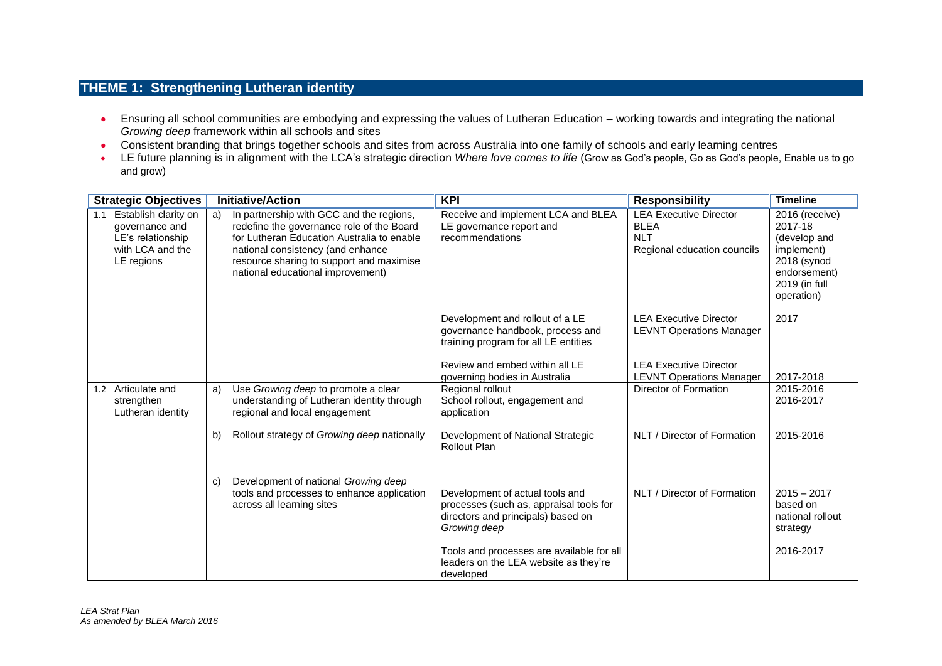### **THEME 1: Strengthening Lutheran identity**

- Ensuring all school communities are embodying and expressing the values of Lutheran Education working towards and integrating the national *Growing deep* framework within all schools and sites
- Consistent branding that brings together schools and sites from across Australia into one family of schools and early learning centres
- . LE future planning is in alignment with the LCA's strategic direction Where love comes to life (Grow as God's people, Go as God's people, Enable us to go and grow)

| <b>Strategic Objectives</b>                                                                          |    | <b>Initiative/Action</b>                                                                                                                                                                                                                                  | <b>KPI</b>                                                                                                                                                                     | <b>Responsibility</b>                                                                                                                | <b>Timeline</b>                                                                                                       |
|------------------------------------------------------------------------------------------------------|----|-----------------------------------------------------------------------------------------------------------------------------------------------------------------------------------------------------------------------------------------------------------|--------------------------------------------------------------------------------------------------------------------------------------------------------------------------------|--------------------------------------------------------------------------------------------------------------------------------------|-----------------------------------------------------------------------------------------------------------------------|
| Establish clarity on<br>1.1<br>governance and<br>LE's relationship<br>with LCA and the<br>LE regions | a) | In partnership with GCC and the regions,<br>redefine the governance role of the Board<br>for Lutheran Education Australia to enable<br>national consistency (and enhance<br>resource sharing to support and maximise<br>national educational improvement) | Receive and implement LCA and BLEA<br>LE governance report and<br>recommendations                                                                                              | <b>LEA Executive Director</b><br><b>BLEA</b><br><b>NLT</b><br>Regional education councils                                            | 2016 (receive)<br>2017-18<br>(develop and<br>implement)<br>2018 (synod<br>endorsement)<br>2019 (in full<br>operation) |
|                                                                                                      |    |                                                                                                                                                                                                                                                           | Development and rollout of a LE<br>governance handbook, process and<br>training program for all LE entities<br>Review and embed within all LE<br>governing bodies in Australia | <b>LEA Executive Director</b><br><b>LEVNT Operations Manager</b><br><b>LEA Executive Director</b><br><b>LEVNT Operations Manager</b> | 2017<br>2017-2018                                                                                                     |
| Articulate and<br>1.2<br>strengthen<br>Lutheran identity                                             | a) | Use Growing deep to promote a clear<br>understanding of Lutheran identity through<br>regional and local engagement                                                                                                                                        | Regional rollout<br>School rollout, engagement and<br>application                                                                                                              | Director of Formation                                                                                                                | 2015-2016<br>2016-2017                                                                                                |
|                                                                                                      | b) | Rollout strategy of Growing deep nationally                                                                                                                                                                                                               | Development of National Strategic<br>Rollout Plan                                                                                                                              | NLT / Director of Formation                                                                                                          | 2015-2016                                                                                                             |
|                                                                                                      | C) | Development of national Growing deep<br>tools and processes to enhance application<br>across all learning sites                                                                                                                                           | Development of actual tools and<br>processes (such as, appraisal tools for<br>directors and principals) based on<br>Growing deep<br>Tools and processes are available for all  | NLT / Director of Formation                                                                                                          | $2015 - 2017$<br>based on<br>national rollout<br>strategy<br>2016-2017                                                |
|                                                                                                      |    |                                                                                                                                                                                                                                                           | leaders on the LEA website as they're<br>developed                                                                                                                             |                                                                                                                                      |                                                                                                                       |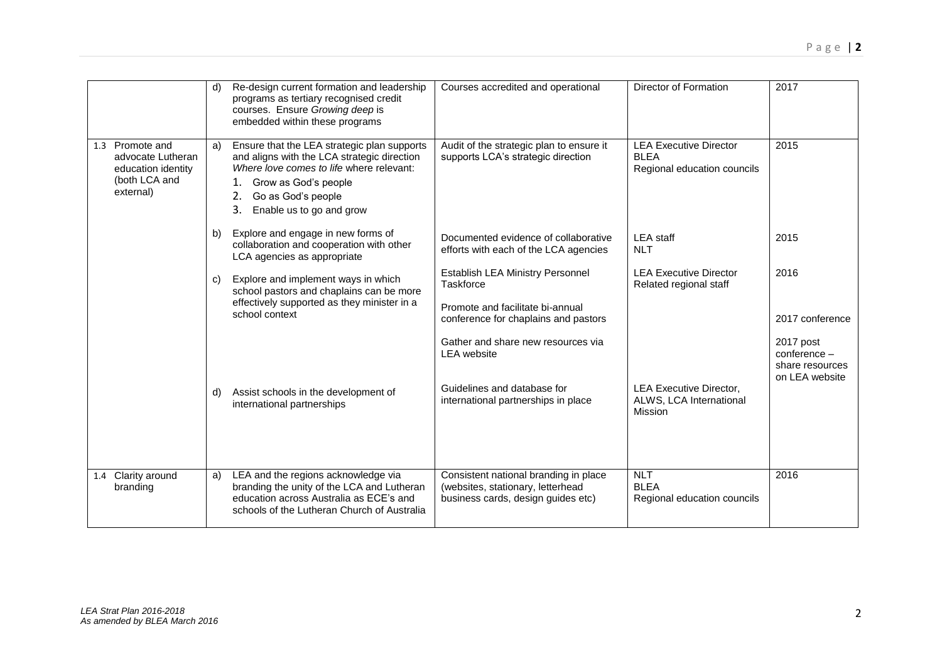|                                                                                             | d) | Re-design current formation and leadership<br>programs as tertiary recognised credit<br>courses. Ensure Growing deep is<br>embedded within these programs                                                                       | Courses accredited and operational                                                                               | Director of Formation                                                       | 2017                                                           |
|---------------------------------------------------------------------------------------------|----|---------------------------------------------------------------------------------------------------------------------------------------------------------------------------------------------------------------------------------|------------------------------------------------------------------------------------------------------------------|-----------------------------------------------------------------------------|----------------------------------------------------------------|
| Promote and<br>1.3<br>advocate Lutheran<br>education identity<br>(both LCA and<br>external) | a) | Ensure that the LEA strategic plan supports<br>and aligns with the LCA strategic direction<br>Where love comes to life where relevant:<br>1. Grow as God's people<br>Go as God's people<br>2.<br>3.<br>Enable us to go and grow | Audit of the strategic plan to ensure it<br>supports LCA's strategic direction                                   | <b>LEA Executive Director</b><br><b>BLEA</b><br>Regional education councils | 2015                                                           |
|                                                                                             | b) | Explore and engage in new forms of<br>collaboration and cooperation with other<br>LCA agencies as appropriate                                                                                                                   | Documented evidence of collaborative<br>efforts with each of the LCA agencies                                    | <b>LEA</b> staff<br><b>NLT</b>                                              | 2015                                                           |
|                                                                                             | C) | Explore and implement ways in which<br>school pastors and chaplains can be more<br>effectively supported as they minister in a<br>school context                                                                                | Establish LEA Ministry Personnel<br>Taskforce                                                                    | <b>LEA Executive Director</b><br>Related regional staff                     | 2016                                                           |
|                                                                                             |    |                                                                                                                                                                                                                                 | Promote and facilitate bi-annual<br>conference for chaplains and pastors                                         |                                                                             | 2017 conference                                                |
|                                                                                             |    |                                                                                                                                                                                                                                 | Gather and share new resources via<br><b>LEA</b> website                                                         |                                                                             | 2017 post<br>conference -<br>share resources<br>on LEA website |
|                                                                                             | d) | Assist schools in the development of<br>international partnerships                                                                                                                                                              | Guidelines and database for<br>international partnerships in place                                               | <b>LEA Executive Director,</b><br>ALWS, LCA International<br><b>Mission</b> |                                                                |
| Clarity around<br>1.4<br>branding                                                           | a) | LEA and the regions acknowledge via<br>branding the unity of the LCA and Lutheran<br>education across Australia as ECE's and<br>schools of the Lutheran Church of Australia                                                     | Consistent national branding in place<br>(websites, stationary, letterhead<br>business cards, design guides etc) | <b>NLT</b><br><b>BLEA</b><br>Regional education councils                    | 2016                                                           |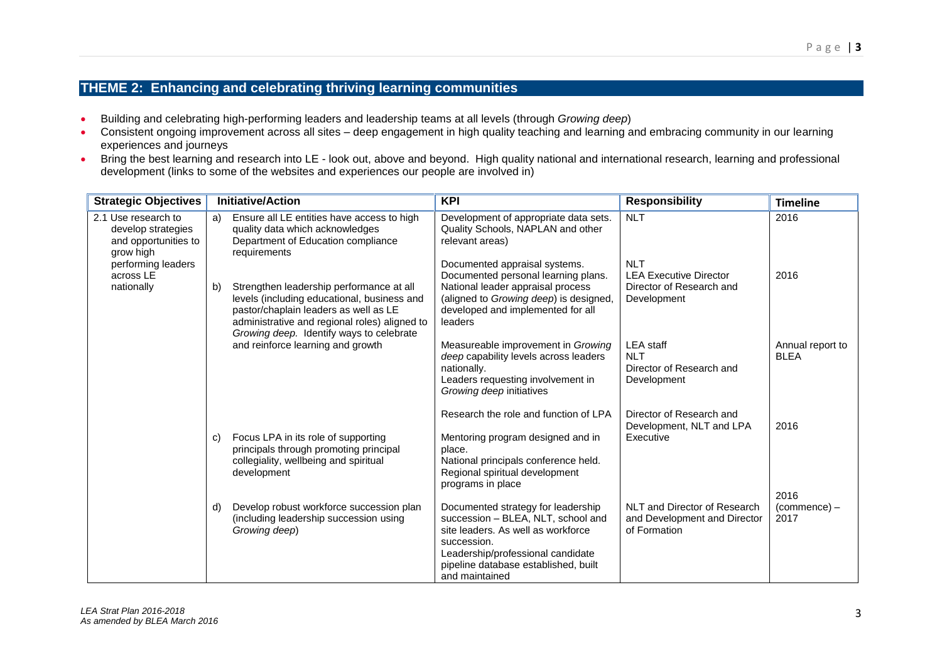## **THEME 2: Enhancing and celebrating thriving learning communities**

- Building and celebrating high-performing leaders and leadership teams at all levels (through *Growing deep*)
- Consistent ongoing improvement across all sites deep engagement in high quality teaching and learning and embracing community in our learning experiences and journeys
- Bring the best learning and research into LE look out, above and beyond. High quality national and international research, learning and professional development (links to some of the websites and experiences our people are involved in)

|    |                                                                                                                                                                                                                                                                    | <b>KPI</b>                                                                                                                                                                                                 | <b>Responsibility</b>                                                                     | <b>Timeline</b>                 |
|----|--------------------------------------------------------------------------------------------------------------------------------------------------------------------------------------------------------------------------------------------------------------------|------------------------------------------------------------------------------------------------------------------------------------------------------------------------------------------------------------|-------------------------------------------------------------------------------------------|---------------------------------|
| a) | Ensure all LE entities have access to high<br>quality data which acknowledges<br>Department of Education compliance                                                                                                                                                | Development of appropriate data sets.<br>Quality Schools, NAPLAN and other<br>relevant areas)                                                                                                              | <b>NLT</b>                                                                                | 2016                            |
| b) | Strengthen leadership performance at all<br>levels (including educational, business and<br>pastor/chaplain leaders as well as LE<br>administrative and regional roles) aligned to<br>Growing deep. Identify ways to celebrate<br>and reinforce learning and growth | Documented appraisal systems.<br>Documented personal learning plans.<br>National leader appraisal process<br>(aligned to Growing deep) is designed,                                                        | <b>NLT</b><br><b>LEA Executive Director</b><br>Director of Research and<br>Development    | 2016                            |
|    |                                                                                                                                                                                                                                                                    | leaders                                                                                                                                                                                                    |                                                                                           |                                 |
|    |                                                                                                                                                                                                                                                                    | deep capability levels across leaders<br>nationally.<br>Leaders requesting involvement in<br>Growing deep initiatives                                                                                      | <b>NLT</b><br>Director of Research and<br>Development                                     | Annual report to<br><b>BLEA</b> |
|    |                                                                                                                                                                                                                                                                    | Research the role and function of LPA                                                                                                                                                                      | Director of Research and<br>Development, NLT and LPA                                      | 2016                            |
| C) | Focus LPA in its role of supporting<br>principals through promoting principal<br>collegiality, wellbeing and spiritual<br>development                                                                                                                              | Mentoring program designed and in<br>place.<br>National principals conference held.<br>Regional spiritual development<br>programs in place                                                                 | Executive                                                                                 |                                 |
| d) | Develop robust workforce succession plan<br>(including leadership succession using<br>Growing deep)                                                                                                                                                                | Documented strategy for leadership<br>succession - BLEA, NLT, school and<br>site leaders. As well as workforce<br>succession.<br>Leadership/professional candidate<br>pipeline database established, built | NLT and Director of Research<br>and Development and Director<br>of Formation              | 2016<br>$(commence) -$<br>2017  |
|    |                                                                                                                                                                                                                                                                    | <b>Initiative/Action</b><br>requirements                                                                                                                                                                   | developed and implemented for all<br>Measureable improvement in Growing<br>and maintained | <b>LEA</b> staff                |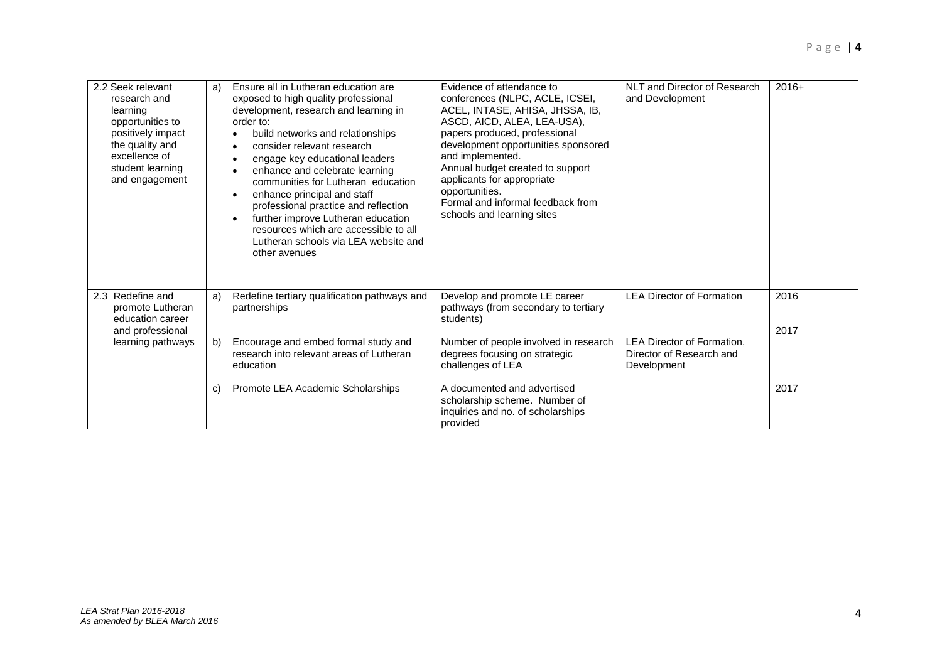| 2.2 Seek relevant<br>research and<br>learning<br>opportunities to<br>positively impact<br>the quality and<br>excellence of<br>student learning<br>and engagement | a) | Ensure all in Lutheran education are<br>exposed to high quality professional<br>development, research and learning in<br>order to:<br>build networks and relationships<br>$\bullet$<br>consider relevant research<br>$\bullet$<br>engage key educational leaders<br>$\bullet$<br>enhance and celebrate learning<br>$\bullet$<br>communities for Lutheran education<br>enhance principal and staff<br>$\bullet$<br>professional practice and reflection<br>further improve Lutheran education<br>$\bullet$<br>resources which are accessible to all<br>Lutheran schools via LEA website and<br>other avenues | Evidence of attendance to<br>conferences (NLPC, ACLE, ICSEI,<br>ACEL, INTASE, AHISA, JHSSA, IB,<br>ASCD, AICD, ALEA, LEA-USA),<br>papers produced, professional<br>development opportunities sponsored<br>and implemented.<br>Annual budget created to support<br>applicants for appropriate<br>opportunities.<br>Formal and informal feedback from<br>schools and learning sites | NLT and Director of Research<br>and Development                              | $2016+$ |
|------------------------------------------------------------------------------------------------------------------------------------------------------------------|----|-------------------------------------------------------------------------------------------------------------------------------------------------------------------------------------------------------------------------------------------------------------------------------------------------------------------------------------------------------------------------------------------------------------------------------------------------------------------------------------------------------------------------------------------------------------------------------------------------------------|-----------------------------------------------------------------------------------------------------------------------------------------------------------------------------------------------------------------------------------------------------------------------------------------------------------------------------------------------------------------------------------|------------------------------------------------------------------------------|---------|
| Redefine and<br>2.3<br>promote Lutheran<br>education career<br>and professional<br>learning pathways                                                             | a) | Redefine tertiary qualification pathways and<br>partnerships                                                                                                                                                                                                                                                                                                                                                                                                                                                                                                                                                | Develop and promote LE career<br>pathways (from secondary to tertiary<br>students)                                                                                                                                                                                                                                                                                                | <b>LEA Director of Formation</b>                                             | 2016    |
|                                                                                                                                                                  | b) | Encourage and embed formal study and<br>research into relevant areas of Lutheran<br>education                                                                                                                                                                                                                                                                                                                                                                                                                                                                                                               | Number of people involved in research<br>degrees focusing on strategic<br>challenges of LEA                                                                                                                                                                                                                                                                                       | <b>LEA Director of Formation.</b><br>Director of Research and<br>Development | 2017    |
|                                                                                                                                                                  | C) | Promote LEA Academic Scholarships                                                                                                                                                                                                                                                                                                                                                                                                                                                                                                                                                                           | A documented and advertised<br>scholarship scheme. Number of<br>inquiries and no. of scholarships<br>provided                                                                                                                                                                                                                                                                     |                                                                              | 2017    |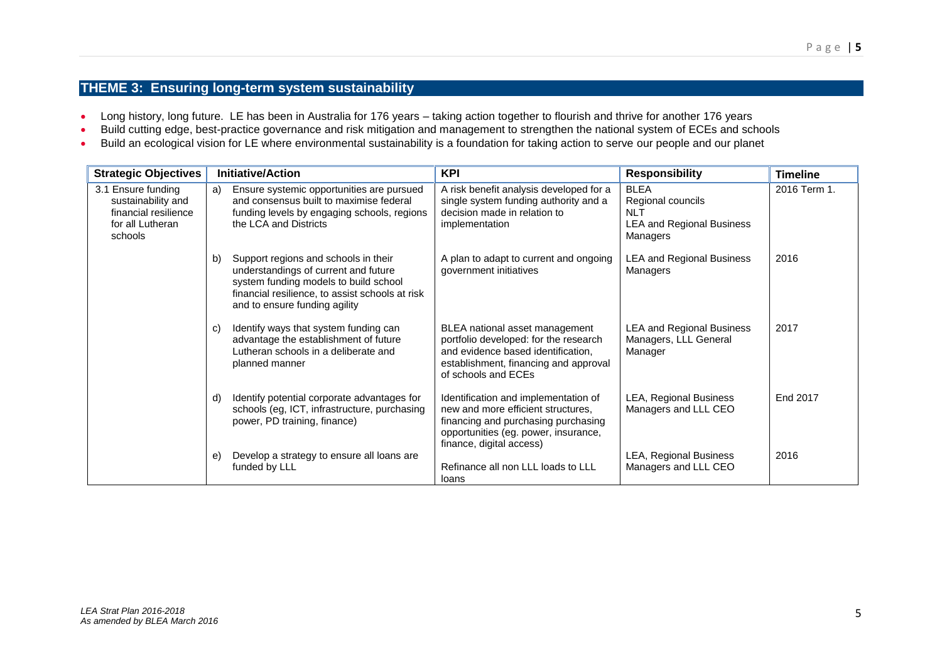### **THEME 3: Ensuring long-term system sustainability**

- Long history, long future. LE has been in Australia for 176 years taking action together to flourish and thrive for another 176 years
- Build cutting edge, best-practice governance and risk mitigation and management to strengthen the national system of ECEs and schools
- Build an ecological vision for LE where environmental sustainability is a foundation for taking action to serve our people and our planet

| <b>Strategic Objectives</b>                                                                     | <b>Initiative/Action</b> |                                                                                                                                                                                                           | <b>KPI</b>                                                                                                                                                                            | <b>Responsibility</b>                                                                          | <b>Timeline</b> |
|-------------------------------------------------------------------------------------------------|--------------------------|-----------------------------------------------------------------------------------------------------------------------------------------------------------------------------------------------------------|---------------------------------------------------------------------------------------------------------------------------------------------------------------------------------------|------------------------------------------------------------------------------------------------|-----------------|
| 3.1 Ensure funding<br>sustainability and<br>financial resilience<br>for all Lutheran<br>schools | a)                       | Ensure systemic opportunities are pursued<br>and consensus built to maximise federal<br>funding levels by engaging schools, regions<br>the LCA and Districts                                              | A risk benefit analysis developed for a<br>single system funding authority and a<br>decision made in relation to<br>implementation                                                    | <b>BLEA</b><br>Regional councils<br><b>NLT</b><br><b>LEA and Regional Business</b><br>Managers | 2016 Term 1.    |
|                                                                                                 | b)                       | Support regions and schools in their<br>understandings of current and future<br>system funding models to build school<br>financial resilience, to assist schools at risk<br>and to ensure funding agility | A plan to adapt to current and ongoing<br>government initiatives                                                                                                                      | <b>LEA and Regional Business</b><br>Managers                                                   | 2016            |
|                                                                                                 | C)                       | Identify ways that system funding can<br>advantage the establishment of future<br>Lutheran schools in a deliberate and<br>planned manner                                                                  | BLEA national asset management<br>portfolio developed: for the research<br>and evidence based identification,<br>establishment, financing and approval<br>of schools and ECEs         | <b>LEA and Regional Business</b><br>Managers, LLL General<br>Manager                           | 2017            |
|                                                                                                 | d)                       | Identify potential corporate advantages for<br>schools (eg, ICT, infrastructure, purchasing<br>power, PD training, finance)                                                                               | Identification and implementation of<br>new and more efficient structures,<br>financing and purchasing purchasing<br>opportunities (eg. power, insurance,<br>finance, digital access) | LEA, Regional Business<br>Managers and LLL CEO                                                 | End 2017        |
|                                                                                                 | e                        | Develop a strategy to ensure all loans are<br>funded by LLL                                                                                                                                               | Refinance all non LLL loads to LLL<br>loans                                                                                                                                           | LEA, Regional Business<br>Managers and LLL CEO                                                 | 2016            |